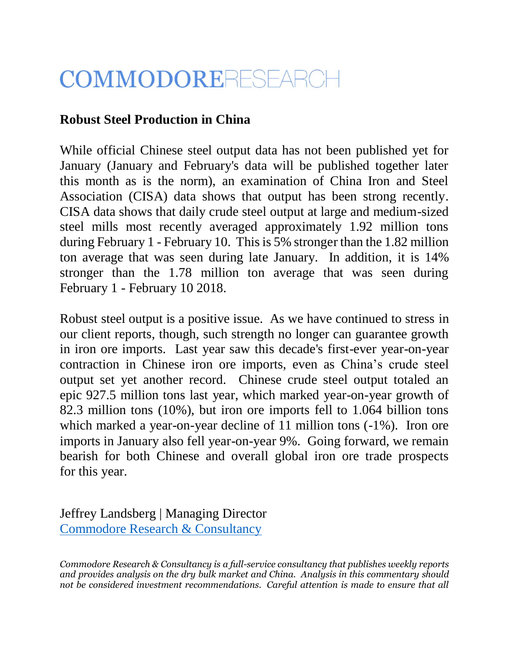## COMMODORERESEARCH

## **Robust Steel Production in China**

While official Chinese steel output data has not been published yet for January (January and February's data will be published together later this month as is the norm), an examination of China Iron and Steel Association (CISA) data shows that output has been strong recently. CISA data shows that daily crude steel output at large and medium-sized steel mills most recently averaged approximately 1.92 million tons during February 1 - February 10. This is 5% stronger than the 1.82 million ton average that was seen during late January. In addition, it is 14% stronger than the 1.78 million ton average that was seen during February 1 - February 10 2018.

Robust steel output is a positive issue. As we have continued to stress in our client reports, though, such strength no longer can guarantee growth in iron ore imports. Last year saw this decade's first-ever year-on-year contraction in Chinese iron ore imports, even as China's crude steel output set yet another record. Chinese crude steel output totaled an epic 927.5 million tons last year, which marked year-on-year growth of 82.3 million tons (10%), but iron ore imports fell to 1.064 billion tons which marked a year-on-year decline of 11 million tons  $(-1\%)$ . Iron ore imports in January also fell year-on-year 9%. Going forward, we remain bearish for both Chinese and overall global iron ore trade prospects for this year.

Jeffrey Landsberg | Managing Director [Commodore Research & Consultancy](http://www.commodore-research.com/)

*Commodore Research & Consultancy is a full-service consultancy that publishes weekly reports and provides analysis on the dry bulk market and China. Analysis in this commentary should not be considered investment recommendations. Careful attention is made to ensure that all*